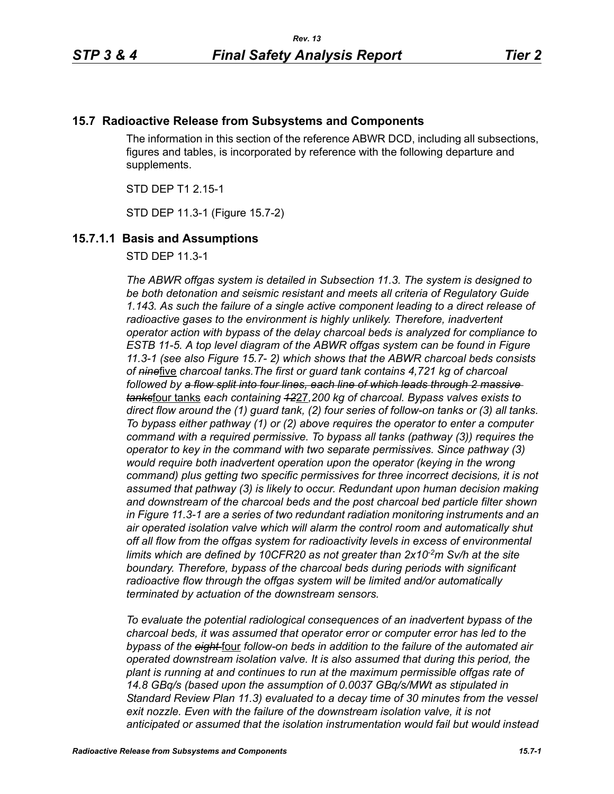## **15.7 Radioactive Release from Subsystems and Components**

The information in this section of the reference ABWR DCD, including all subsections, figures and tables, is incorporated by reference with the following departure and supplements.

STD DEP T1 2.15-1

STD DEP 11.3-1 (Figure 15.7-2)

### **15.7.1.1 Basis and Assumptions**

STD DEP 11.3-1

*The ABWR offgas system is detailed in Subsection 11.3. The system is designed to be both detonation and seismic resistant and meets all criteria of Regulatory Guide 1.143. As such the failure of a single active component leading to a direct release of*  radioactive gases to the environment is highly unlikely. Therefore, inadvertent *operator action with bypass of the delay charcoal beds is analyzed for compliance to ESTB 11-5. A top level diagram of the ABWR offgas system can be found in Figure 11.3-1 (see also Figure 15.7- 2) which shows that the ABWR charcoal beds consists of nine*five *charcoal tanks.The first or guard tank contains 4,721 kg of charcoal followed by a flow split into four lines, each line of which leads through 2 massive tanks*four tanks *each containing 12*27*,200 kg of charcoal. Bypass valves exists to direct flow around the (1) guard tank, (2) four series of follow-on tanks or (3) all tanks. To bypass either pathway (1) or (2) above requires the operator to enter a computer command with a required permissive. To bypass all tanks (pathway (3)) requires the operator to key in the command with two separate permissives. Since pathway (3) would require both inadvertent operation upon the operator (keying in the wrong command) plus getting two specific permissives for three incorrect decisions, it is not assumed that pathway (3) is likely to occur. Redundant upon human decision making and downstream of the charcoal beds and the post charcoal bed particle filter shown in Figure 11.3-1 are a series of two redundant radiation monitoring instruments and an air operated isolation valve which will alarm the control room and automatically shut off all flow from the offgas system for radioactivity levels in excess of environmental*  limits which are defined by 10CFR20 as not greater than 2x10<sup>-2</sup>m Sv/h at the site *boundary. Therefore, bypass of the charcoal beds during periods with significant radioactive flow through the offgas system will be limited and/or automatically terminated by actuation of the downstream sensors.* 

*To evaluate the potential radiological consequences of an inadvertent bypass of the charcoal beds, it was assumed that operator error or computer error has led to the bypass of the eight* four *follow-on beds in addition to the failure of the automated air operated downstream isolation valve. It is also assumed that during this period, the plant is running at and continues to run at the maximum permissible offgas rate of 14.8 GBq/s (based upon the assumption of 0.0037 GBq/s/MWt as stipulated in Standard Review Plan 11.3) evaluated to a decay time of 30 minutes from the vessel*  exit nozzle. Even with the failure of the downstream isolation valve, it is not *anticipated or assumed that the isolation instrumentation would fail but would instead*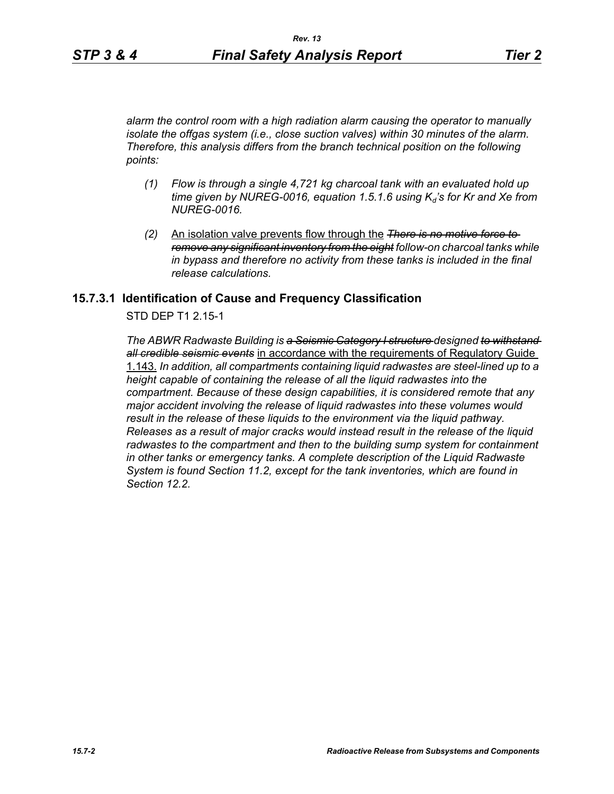*alarm the control room with a high radiation alarm causing the operator to manually isolate the offgas system (i.e., close suction valves) within 30 minutes of the alarm. Therefore, this analysis differs from the branch technical position on the following points:*

- *(1) Flow is through a single 4,721 kg charcoal tank with an evaluated hold up*   $time$  given by NUREG-0016, equation 1.5.1.6 using  $K_d$ 's for Kr and Xe from *NUREG-0016.*
- *(2)* An isolation valve prevents flow through the *There is no motive force to remove any significant inventory from the eight follow-on charcoal tanks while in bypass and therefore no activity from these tanks is included in the final release calculations.*

### **15.7.3.1 Identification of Cause and Frequency Classification**

STD DEP T1 2.15-1

*The ABWR Radwaste Building is a Seismic Category I structure designed to withstand all credible seismic events* in accordance with the requirements of Regulatory Guide 1.143. *In addition, all compartments containing liquid radwastes are steel-lined up to a height capable of containing the release of all the liquid radwastes into the compartment. Because of these design capabilities, it is considered remote that any major accident involving the release of liquid radwastes into these volumes would result in the release of these liquids to the environment via the liquid pathway. Releases as a result of major cracks would instead result in the release of the liquid radwastes to the compartment and then to the building sump system for containment in other tanks or emergency tanks. A complete description of the Liquid Radwaste System is found Section 11.2, except for the tank inventories, which are found in Section 12.2.*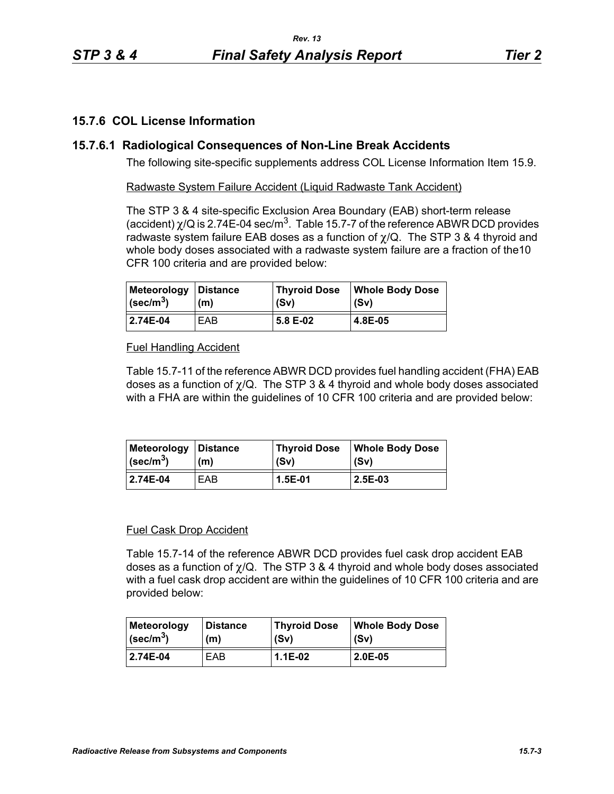# **15.7.6 COL License Information**

# **15.7.6.1 Radiological Consequences of Non-Line Break Accidents**

The following site-specific supplements address COL License Information Item 15.9.

Radwaste System Failure Accident (Liquid Radwaste Tank Accident)

The STP 3 & 4 site-specific Exclusion Area Boundary (EAB) short-term release (accident)  $\chi$ /Q is 2.74E-04 sec/m<sup>3</sup>. Table 15.7-7 of the reference ABWR DCD provides radwaste system failure EAB doses as a function of  $\chi$ /Q. The STP 3 & 4 thyroid and whole body doses associated with a radwaste system failure are a fraction of the10 CFR 100 criteria and are provided below:

| Meteorology   Distance        | (m) | <b>Thyroid Dose</b> | <b>Whole Body Dose</b> |
|-------------------------------|-----|---------------------|------------------------|
| $\vert$ (sec/m <sup>3</sup> ) |     | (Sv)                | l (Sv)                 |
| 2.74E-04                      | EAB | 5.8 E-02            | l 4.8E-05              |

## Fuel Handling Accident

Table 15.7-11 of the reference ABWR DCD provides fuel handling accident (FHA) EAB doses as a function of  $\chi$ /Q. The STP 3 & 4 thyroid and whole body doses associated with a FHA are within the guidelines of 10 CFR 100 criteria and are provided below:

| Meteorology             | <b>∣Distance</b> | <b>Thyroid Dose</b> | <b>Whole Body Dose</b> |
|-------------------------|------------------|---------------------|------------------------|
| $\sqrt{\text{sec/m}^3}$ | (m)              | (Sv)                | (Sv)                   |
| 2.74E-04                | EAB              | 1.5E-01             | 2.5E-03                |

### Fuel Cask Drop Accident

Table 15.7-14 of the reference ABWR DCD provides fuel cask drop accident EAB doses as a function of  $\chi$ /Q. The STP 3 & 4 thyroid and whole body doses associated with a fuel cask drop accident are within the guidelines of 10 CFR 100 criteria and are provided below:

| <b>Meteorology</b>        | <b>Distance</b> | <b>Thyroid Dose</b> | <b>Whole Body Dose</b> |
|---------------------------|-----------------|---------------------|------------------------|
| $ $ (sec/m <sup>3</sup> ) | (m)             | (Sv)                | (Sv)                   |
| 2.74E-04                  | EAB             | 1.1E-02             | $2.0E-0.5$             |